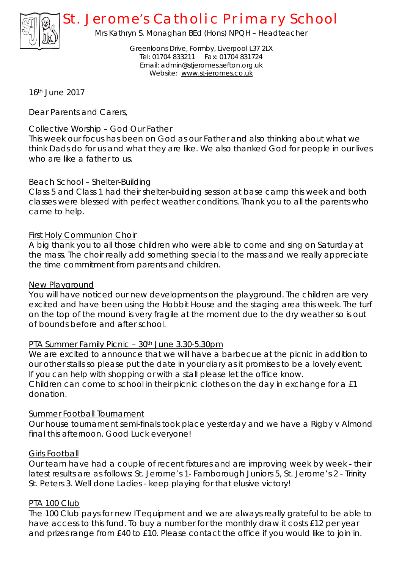

# *St. Jerome's Catholic Primary School*

Mrs Kathryn S. Monaghan BEd (Hons) NPQH – Headteacher

Greenloons Drive, Formby, Liverpool L37 2LX Tel: 01704 833211 Fax: 01704 831724 Email: [admin@stjeromes.sefton.org.uk](mailto:admin@stjeromes.sefton.org.uk) Website: [www.st-jeromes.co.uk](http://www.st-jeromes.co.uk)

16th June 2017

Dear Parents and Carers,

## Collective Worship – God Our Father

This week our focus has been on God as our Father and also thinking about what we think Dads do for us and what they are like. We also thanked God for people in our lives who are like a father to us.

## Beach School – Shelter-Building

Class 5 and Class 1 had their shelter-building session at base camp this week and both classes were blessed with perfect weather conditions. Thank you to all the parents who came to help.

## First Holy Communion Choir

A big thank you to all those children who were able to come and sing on Saturday at the mass. The choir really add something special to the mass and we really appreciate the time commitment from parents and children.

#### New Playground

You will have noticed our new developments on the playground. The children are very excited and have been using the Hobbit House and the staging area this week. The turf on the top of the mound is very fragile at the moment due to the dry weather so is out of bounds before and after school.

#### PTA Summer Family Picnic – 30th June 3.30-5.30pm

We are excited to announce that we will have a barbecue at the picnic in addition to our other stalls so please put the date in your diary as it promises to be a lovely event. If you can help with shopping or with a stall please let the office know. Children can come to school in their picnic clothes on the day in exchange for a £1 donation.

#### Summer Football Tournament

Our house tournament semi-finals took place yesterday and we have a Rigby v Almond final this afternoon. Good Luck everyone!

#### Girls Football

Our team have had a couple of recent fixtures and are improving week by week - their latest results are as follows: St. Jerome's 1- Farnborough Juniors 5, St. Jerome's 2 - Trinity St. Peters 3. Well done Ladies - keep playing for that elusive victory!

#### PTA 100 Club

The 100 Club pays for new IT equipment and we are always really grateful to be able to have access to this fund. To buy a number for the monthly draw it costs £12 per year and prizes range from £40 to £10. Please contact the office if you would like to join in.